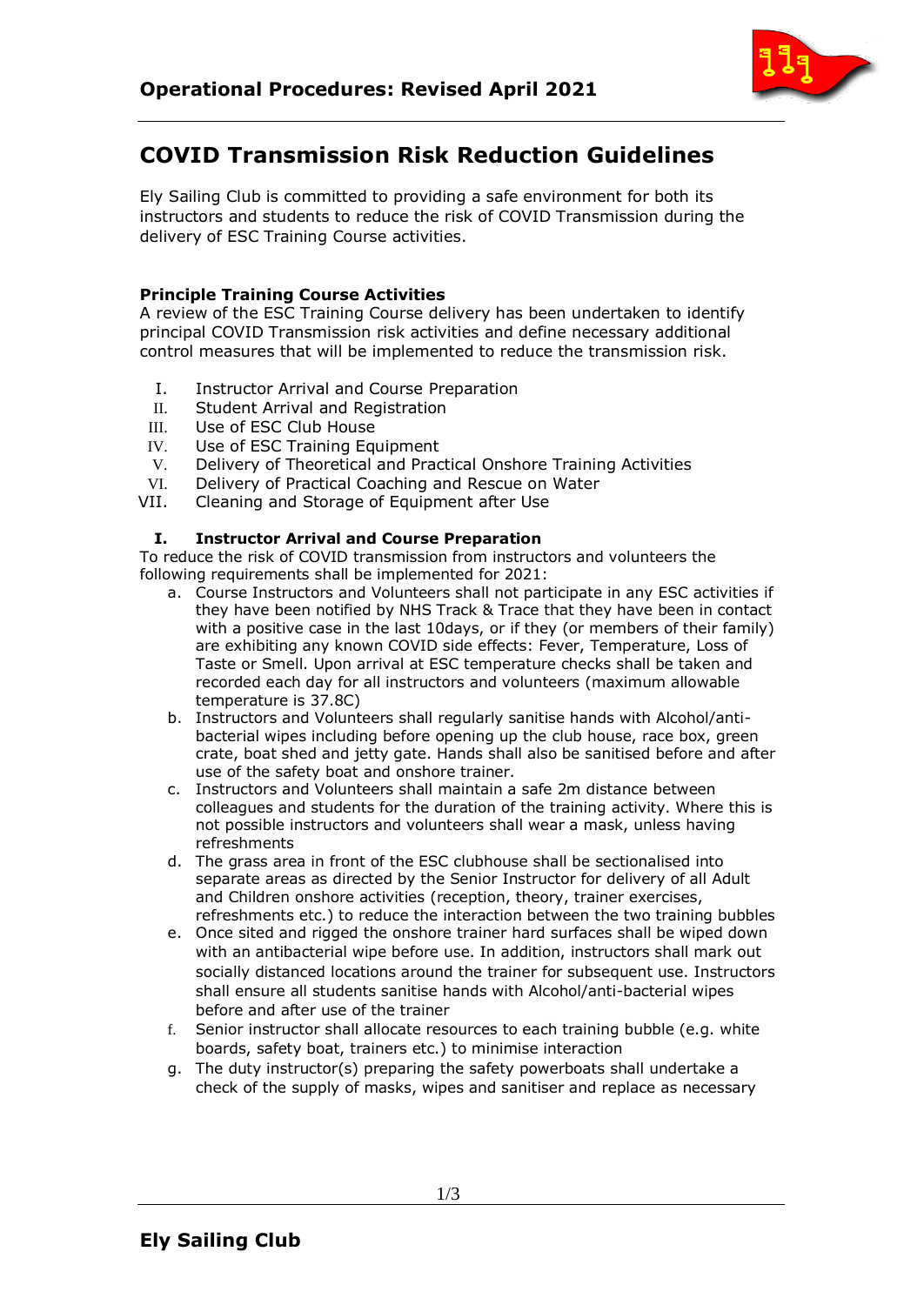

# **COVID Transmission Risk Reduction Guidelines**

Ely Sailing Club is committed to providing a safe environment for both its instructors and students to reduce the risk of COVID Transmission during the delivery of ESC Training Course activities.

# **Principle Training Course Activities**

A review of the ESC Training Course delivery has been undertaken to identify principal COVID Transmission risk activities and define necessary additional control measures that will be implemented to reduce the transmission risk.

- I. Instructor Arrival and Course Preparation
- II. Student Arrival and Registration
- III. Use of ESC Club House
- IV. Use of ESC Training Equipment
- V. Delivery of Theoretical and Practical Onshore Training Activities
- VI. Delivery of Practical Coaching and Rescue on Water
- VII. Cleaning and Storage of Equipment after Use

## **I. Instructor Arrival and Course Preparation**

To reduce the risk of COVID transmission from instructors and volunteers the following requirements shall be implemented for 2021:

- a. Course Instructors and Volunteers shall not participate in any ESC activities if they have been notified by NHS Track & Trace that they have been in contact with a positive case in the last 10days, or if they (or members of their family) are exhibiting any known COVID side effects: Fever, Temperature, Loss of Taste or Smell. Upon arrival at ESC temperature checks shall be taken and recorded each day for all instructors and volunteers (maximum allowable temperature is 37.8C)
- b. Instructors and Volunteers shall regularly sanitise hands with Alcohol/antibacterial wipes including before opening up the club house, race box, green crate, boat shed and jetty gate. Hands shall also be sanitised before and after use of the safety boat and onshore trainer.
- c. Instructors and Volunteers shall maintain a safe 2m distance between colleagues and students for the duration of the training activity. Where this is not possible instructors and volunteers shall wear a mask, unless having refreshments
- d. The grass area in front of the ESC clubhouse shall be sectionalised into separate areas as directed by the Senior Instructor for delivery of all Adult and Children onshore activities (reception, theory, trainer exercises, refreshments etc.) to reduce the interaction between the two training bubbles
- e. Once sited and rigged the onshore trainer hard surfaces shall be wiped down with an antibacterial wipe before use. In addition, instructors shall mark out socially distanced locations around the trainer for subsequent use. Instructors shall ensure all students sanitise hands with Alcohol/anti-bacterial wipes before and after use of the trainer
- f. Senior instructor shall allocate resources to each training bubble (e.g. white boards, safety boat, trainers etc.) to minimise interaction
- g. The duty instructor(s) preparing the safety powerboats shall undertake a check of the supply of masks, wipes and sanitiser and replace as necessary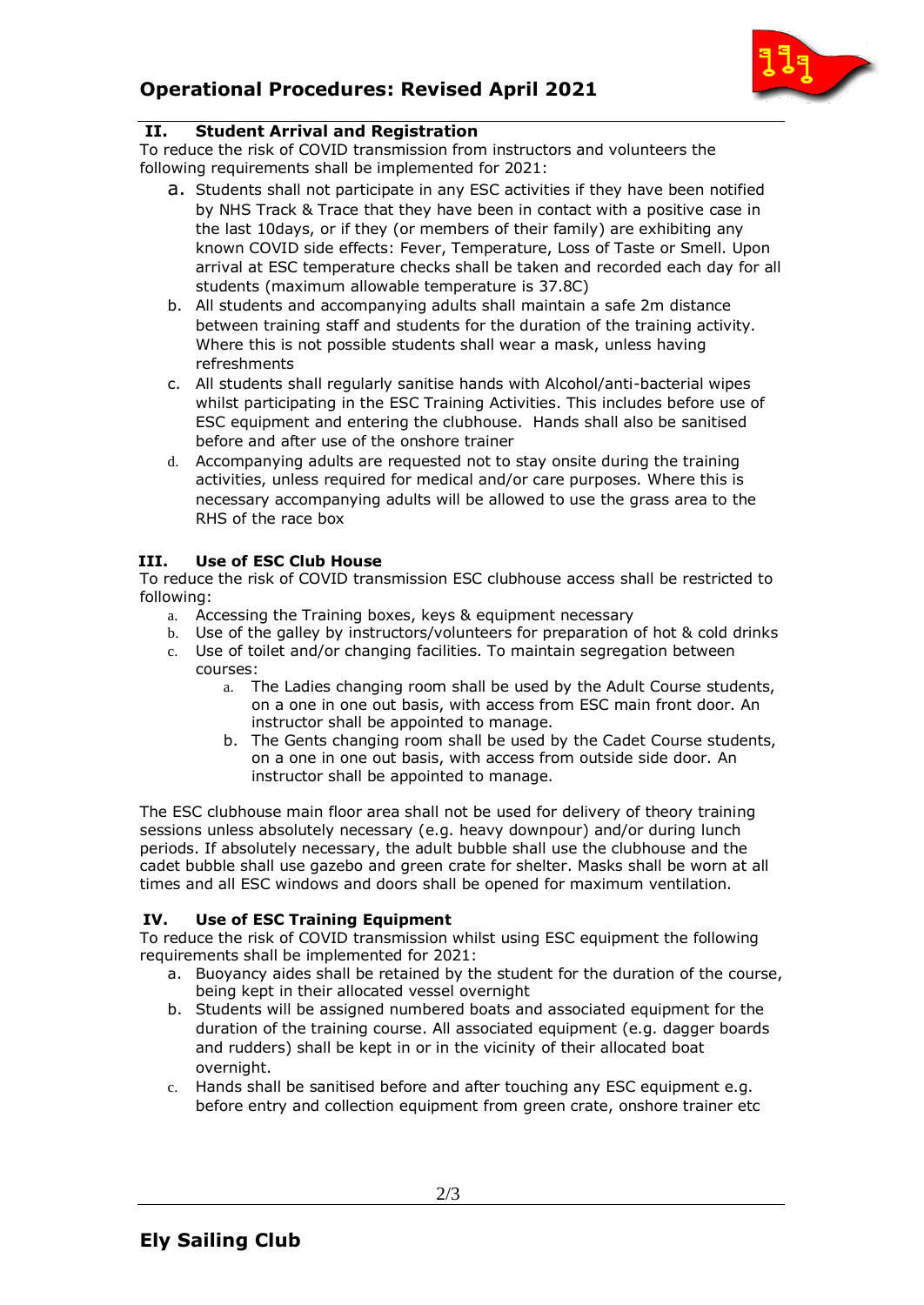

# **II. Student Arrival and Registration**

To reduce the risk of COVID transmission from instructors and volunteers the following requirements shall be implemented for 2021:

- a. Students shall not participate in any ESC activities if they have been notified by NHS Track & Trace that they have been in contact with a positive case in the last 10days, or if they (or members of their family) are exhibiting any known COVID side effects: Fever, Temperature, Loss of Taste or Smell. Upon arrival at ESC temperature checks shall be taken and recorded each day for all students (maximum allowable temperature is 37.8C)
- b. All students and accompanying adults shall maintain a safe 2m distance between training staff and students for the duration of the training activity. Where this is not possible students shall wear a mask, unless having refreshments
- c. All students shall regularly sanitise hands with Alcohol/anti-bacterial wipes whilst participating in the ESC Training Activities. This includes before use of ESC equipment and entering the clubhouse. Hands shall also be sanitised before and after use of the onshore trainer
- d. Accompanying adults are requested not to stay onsite during the training activities, unless required for medical and/or care purposes. Where this is necessary accompanying adults will be allowed to use the grass area to the RHS of the race box

# **III. Use of ESC Club House**

To reduce the risk of COVID transmission ESC clubhouse access shall be restricted to following:

- a. Accessing the Training boxes, keys & equipment necessary
- b. Use of the galley by instructors/volunteers for preparation of hot & cold drinks
- c. Use of toilet and/or changing facilities. To maintain segregation between courses:
	- a. The Ladies changing room shall be used by the Adult Course students, on a one in one out basis, with access from ESC main front door. An instructor shall be appointed to manage.
	- b. The Gents changing room shall be used by the Cadet Course students, on a one in one out basis, with access from outside side door. An instructor shall be appointed to manage.

The ESC clubhouse main floor area shall not be used for delivery of theory training sessions unless absolutely necessary (e.g. heavy downpour) and/or during lunch periods. If absolutely necessary, the adult bubble shall use the clubhouse and the cadet bubble shall use gazebo and green crate for shelter. Masks shall be worn at all times and all ESC windows and doors shall be opened for maximum ventilation.

## **IV. Use of ESC Training Equipment**

To reduce the risk of COVID transmission whilst using ESC equipment the following requirements shall be implemented for 2021:

- a. Buoyancy aides shall be retained by the student for the duration of the course, being kept in their allocated vessel overnight
- b. Students will be assigned numbered boats and associated equipment for the duration of the training course. All associated equipment (e.g. dagger boards and rudders) shall be kept in or in the vicinity of their allocated boat overnight.
- c. Hands shall be sanitised before and after touching any ESC equipment e.g. before entry and collection equipment from green crate, onshore trainer etc